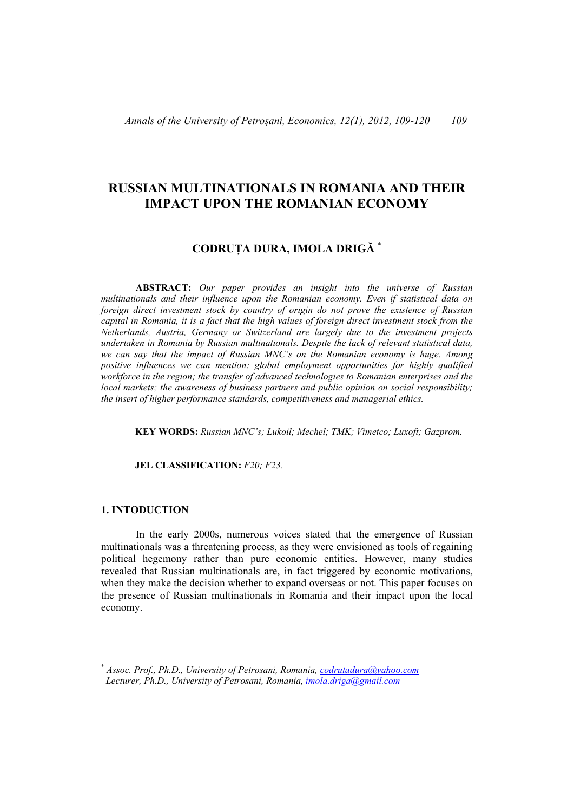# **RUSSIAN MULTINATIONALS IN ROMANIA AND THEIR IMPACT UPON THE ROMANIAN ECONOMY**

## **CODRUŢA DURA, IMOLA DRIGĂ** \*

 **ABSTRACT:** *Our paper provides an insight into the universe of Russian multinationals and their influence upon the Romanian economy. Even if statistical data on foreign direct investment stock by country of origin do not prove the existence of Russian capital in Romania, it is a fact that the high values of foreign direct investment stock from the Netherlands, Austria, Germany or Switzerland are largely due to the investment projects undertaken in Romania by Russian multinationals. Despite the lack of relevant statistical data, we can say that the impact of Russian MNC's on the Romanian economy is huge. Among positive influences we can mention: global employment opportunities for highly qualified workforce in the region; the transfer of advanced technologies to Romanian enterprises and the local markets; the awareness of business partners and public opinion on social responsibility; the insert of higher performance standards, competitiveness and managerial ethics.* 

 **KEY WORDS:** *Russian MNC's; Lukoil; Mechel; TMK; Vimetco; Luxoft; Gazprom.*

#### **JEL CLASSIFICATION:** *F20; F23.*

#### **1. INTODUCTION**

In the early 2000s, numerous voices stated that the emergence of Russian multinationals was a threatening process, as they were envisioned as tools of regaining political hegemony rather than pure economic entities. However, many studies revealed that Russian multinationals are, in fact triggered by economic motivations, when they make the decision whether to expand overseas or not. This paper focuses on the presence of Russian multinationals in Romania and their impact upon the local economy.

<sup>\*</sup> *Assoc. Prof., Ph.D., University of Petrosani, Romania, codrutadura@yahoo.com Lecturer, Ph.D., University of Petrosani, Romania, imola.driga@gmail.com*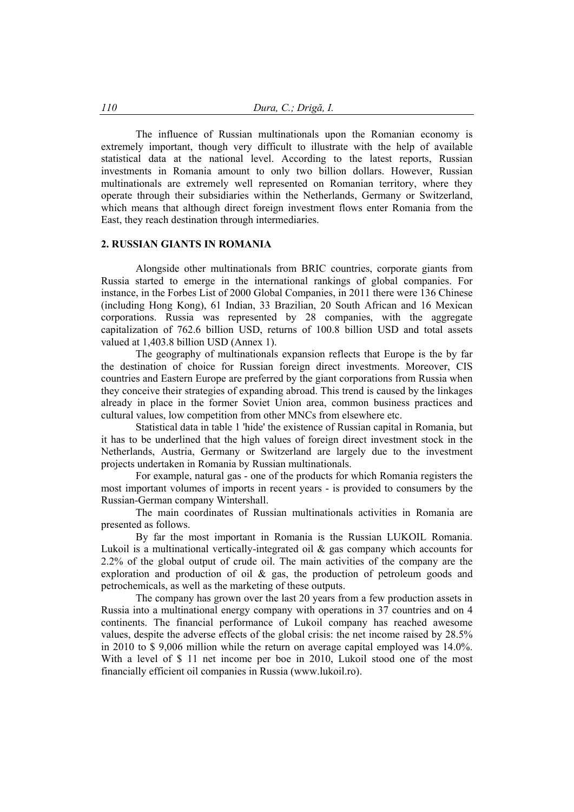The influence of Russian multinationals upon the Romanian economy is extremely important, though very difficult to illustrate with the help of available statistical data at the national level. According to the latest reports, Russian investments in Romania amount to only two billion dollars. However, Russian multinationals are extremely well represented on Romanian territory, where they operate through their subsidiaries within the Netherlands, Germany or Switzerland, which means that although direct foreign investment flows enter Romania from the East, they reach destination through intermediaries.

### **2. RUSSIAN GIANTS IN ROMANIA**

Alongside other multinationals from BRIC countries, corporate giants from Russia started to emerge in the international rankings of global companies. For instance, in the Forbes List of 2000 Global Companies, in 2011 there were 136 Chinese (including Hong Kong), 61 Indian, 33 Brazilian, 20 South African and 16 Mexican corporations. Russia was represented by 28 companies, with the aggregate capitalization of 762.6 billion USD, returns of 100.8 billion USD and total assets valued at 1,403.8 billion USD (Annex 1).

The geography of multinationals expansion reflects that Europe is the by far the destination of choice for Russian foreign direct investments. Moreover, CIS countries and Eastern Europe are preferred by the giant corporations from Russia when they conceive their strategies of expanding abroad. This trend is caused by the linkages already in place in the former Soviet Union area, common business practices and cultural values, low competition from other MNCs from elsewhere etc.

Statistical data in table 1 'hide' the existence of Russian capital in Romania, but it has to be underlined that the high values of foreign direct investment stock in the Netherlands, Austria, Germany or Switzerland are largely due to the investment projects undertaken in Romania by Russian multinationals.

For example, natural gas - one of the products for which Romania registers the most important volumes of imports in recent years - is provided to consumers by the Russian-German company Wintershall.

The main coordinates of Russian multinationals activities in Romania are presented as follows.

By far the most important in Romania is the Russian LUKOIL Romania. Lukoil is a multinational vertically-integrated oil & gas company which accounts for 2.2% of the global output of crude oil. The main activities of the company are the exploration and production of oil & gas, the production of petroleum goods and petrochemicals, as well as the marketing of these outputs.

The company has grown over the last 20 years from a few production assets in Russia into a multinational energy company with operations in 37 countries and on 4 continents. The financial performance of Lukoil company has reached awesome values, despite the adverse effects of the global crisis: the net income raised by 28.5% in 2010 to \$ 9,006 million while the return on average capital employed was 14.0%. With a level of \$ 11 net income per boe in 2010, Lukoil stood one of the most financially efficient oil companies in Russia (www.lukoil.ro).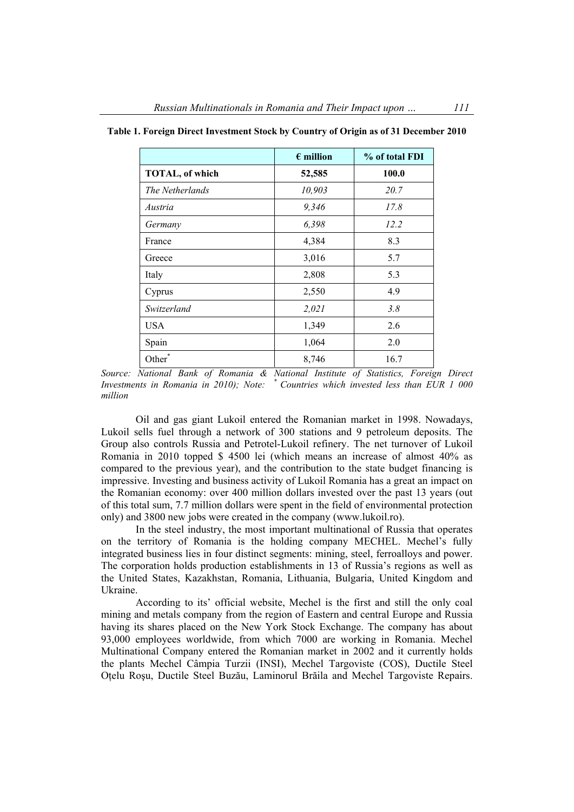|                    | $\epsilon$ million | % of total FDI |  |  |
|--------------------|--------------------|----------------|--|--|
| TOTAL, of which    | 52,585             | 100.0          |  |  |
| The Netherlands    | 10,903             | 20.7           |  |  |
| Austria            | 9,346              | 17.8           |  |  |
| Germany            | 6,398              | 12.2           |  |  |
| France             | 4,384              | 8.3            |  |  |
| Greece             | 3,016              | 5.7            |  |  |
| Italy              | 2,808              | 5.3            |  |  |
| Cyprus             | 2,550              | 4.9            |  |  |
| Switzerland        | 2,021              | 3.8            |  |  |
| <b>USA</b>         | 1,349              | 2.6            |  |  |
| Spain              | 1,064              | 2.0            |  |  |
| Other <sup>*</sup> | 8,746              | 16.7           |  |  |

**Table 1. Foreign Direct Investment Stock by Country of Origin as of 31 December 2010** 

*Source: National Bank of Romania & National Institute of Statistics, Foreign Direct Investments in Romania in 2010); Note: \* Countries which invested less than EUR 1 000 million* 

Oil and gas giant Lukoil entered the Romanian market in 1998. Nowadays, Lukoil sells fuel through a network of 300 stations and 9 petroleum deposits. The Group also controls Russia and Petrotel-Lukoil refinery. The net turnover of Lukoil Romania in 2010 topped \$ 4500 lei (which means an increase of almost 40% as compared to the previous year), and the contribution to the state budget financing is impressive. Investing and business activity of Lukoil Romania has a great an impact on the Romanian economy: over 400 million dollars invested over the past 13 years (out of this total sum, 7.7 million dollars were spent in the field of environmental protection only) and 3800 new jobs were created in the company (www.lukoil.ro).

In the steel industry, the most important multinational of Russia that operates on the territory of Romania is the holding company MECHEL. Mechel's fully integrated business lies in four distinct segments: mining, steel, ferroalloys and power. The corporation holds production establishments in 13 of Russia's regions as well as the United States, Kazakhstan, Romania, Lithuania, Bulgaria, United Kingdom and Ukraine.

According to its' official website, Mechel is the first and still the only coal mining and metals company from the region of Eastern and central Europe and Russia having its shares placed on the New York Stock Exchange. The company has about 93,000 employees worldwide, from which 7000 are working in Romania. Mechel Multinational Company entered the Romanian market in 2002 and it currently holds the plants Mechel Câmpia Turzii (INSI), Mechel Targoviste (COS), Ductile Steel Oţelu Roşu, Ductile Steel Buzău, Laminorul Brăila and Mechel Targoviste Repairs.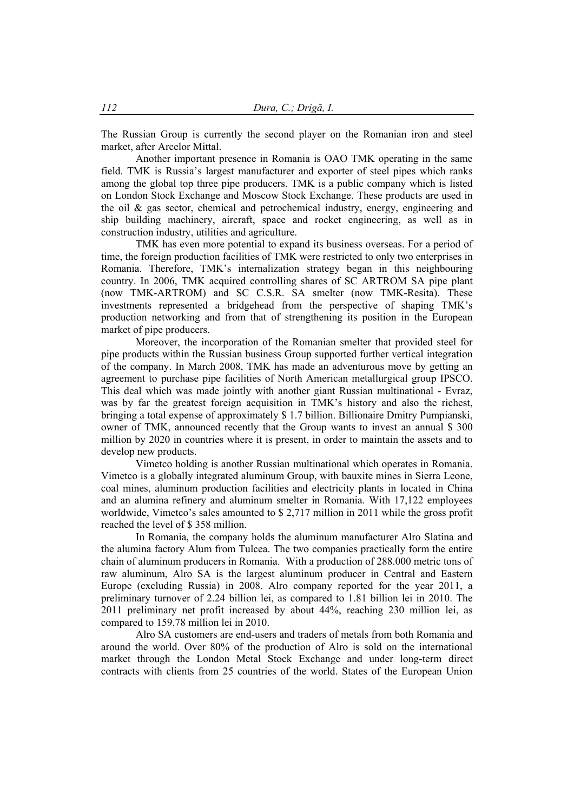The Russian Group is currently the second player on the Romanian iron and steel market, after Arcelor Mittal.

Another important presence in Romania is OAO TMK operating in the same field. TMK is Russia's largest manufacturer and exporter of steel pipes which ranks among the global top three pipe producers. TMK is a public company which is listed on London Stock Exchange and Moscow Stock Exchange. These products are used in the oil  $\&$  gas sector, chemical and petrochemical industry, energy, engineering and ship building machinery, aircraft, space and rocket engineering, as well as in construction industry, utilities and agriculture.

TMK has even more potential to expand its business overseas. For a period of time, the foreign production facilities of TMK were restricted to only two enterprises in Romania. Therefore, TMK's internalization strategy began in this neighbouring country. In 2006, TMK acquired controlling shares of SC ARTROM SA pipe plant (now TMK-ARTROM) and SC C.S.R. SA smelter (now TMK-Resita). These investments represented a bridgehead from the perspective of shaping TMK's production networking and from that of strengthening its position in the European market of pipe producers.

Moreover, the incorporation of the Romanian smelter that provided steel for pipe products within the Russian business Group supported further vertical integration of the company. In March 2008, TMK has made an adventurous move by getting an agreement to purchase pipe facilities of North American metallurgical group IPSCO. This deal which was made jointly with another giant Russian multinational - Evraz, was by far the greatest foreign acquisition in TMK's history and also the richest, bringing a total expense of approximately \$ 1.7 billion. Billionaire Dmitry Pumpianski, owner of TMK, announced recently that the Group wants to invest an annual \$ 300 million by 2020 in countries where it is present, in order to maintain the assets and to develop new products.

Vimetco holding is another Russian multinational which operates in Romania. Vimetco is a globally integrated aluminum Group, with bauxite mines in Sierra Leone, coal mines, aluminum production facilities and electricity plants in located in China and an alumina refinery and aluminum smelter in Romania. With 17,122 employees worldwide, Vimetco's sales amounted to \$ 2,717 million in 2011 while the gross profit reached the level of \$ 358 million.

In Romania, the company holds the aluminum manufacturer Alro Slatina and the alumina factory Alum from Tulcea. The two companies practically form the entire chain of aluminum producers in Romania. With a production of 288.000 metric tons of raw aluminum, Alro SA is the largest aluminum producer in Central and Eastern Europe (excluding Russia) in 2008. Alro company reported for the year 2011, a preliminary turnover of 2.24 billion lei, as compared to 1.81 billion lei in 2010. The 2011 preliminary net profit increased by about 44%, reaching 230 million lei, as compared to 159.78 million lei in 2010.

Alro SA customers are end-users and traders of metals from both Romania and around the world. Over 80% of the production of Alro is sold on the international market through the London Metal Stock Exchange and under long-term direct contracts with clients from 25 countries of the world. States of the European Union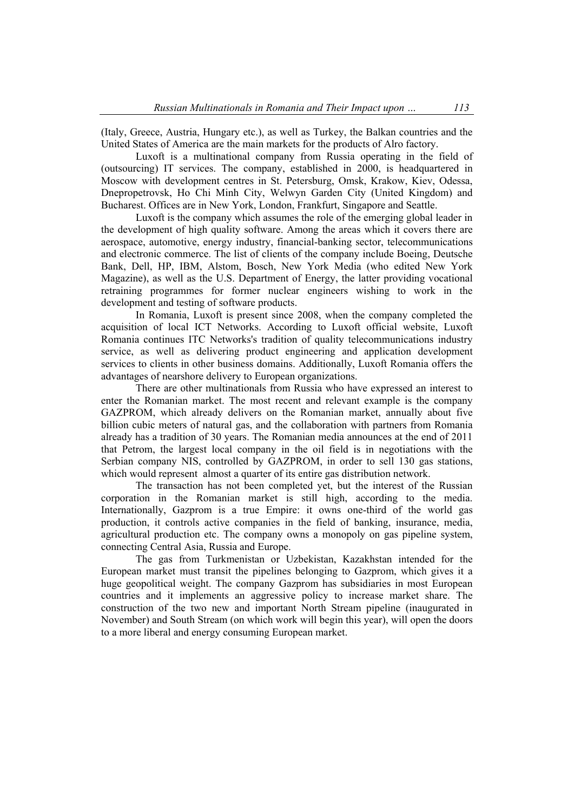(Italy, Greece, Austria, Hungary etc.), as well as Turkey, the Balkan countries and the United States of America are the main markets for the products of Alro factory.

Luxoft is a multinational company from Russia operating in the field of (outsourcing) IT services. The company, established in 2000, is headquartered in Moscow with development centres in St. Petersburg, Omsk, Krakow, Kiev, Odessa, Dnepropetrovsk, Ho Chi Minh City, Welwyn Garden City (United Kingdom) and Bucharest. Offices are in New York, London, Frankfurt, Singapore and Seattle.

Luxoft is the company which assumes the role of the emerging global leader in the development of high quality software. Among the areas which it covers there are aerospace, automotive, energy industry, financial-banking sector, telecommunications and electronic commerce. The list of clients of the company include Boeing, Deutsche Bank, Dell, HP, IBM, Alstom, Bosch, New York Media (who edited New York Magazine), as well as the U.S. Department of Energy, the latter providing vocational retraining programmes for former nuclear engineers wishing to work in the development and testing of software products.

In Romania, Luxoft is present since 2008, when the company completed the acquisition of local ICT Networks. According to Luxoft official website, Luxoft Romania continues ITC Networks's tradition of quality telecommunications industry service, as well as delivering product engineering and application development services to clients in other business domains. Additionally, Luxoft Romania offers the advantages of nearshore delivery to European organizations.

There are other multinationals from Russia who have expressed an interest to enter the Romanian market. The most recent and relevant example is the company GAZPROM, which already delivers on the Romanian market, annually about five billion cubic meters of natural gas, and the collaboration with partners from Romania already has a tradition of 30 years. The Romanian media announces at the end of 2011 that Petrom, the largest local company in the oil field is in negotiations with the Serbian company NIS, controlled by GAZPROM, in order to sell 130 gas stations, which would represent almost a quarter of its entire gas distribution network.

The transaction has not been completed yet, but the interest of the Russian corporation in the Romanian market is still high, according to the media. Internationally, Gazprom is a true Empire: it owns one-third of the world gas production, it controls active companies in the field of banking, insurance, media, agricultural production etc. The company owns a monopoly on gas pipeline system, connecting Central Asia, Russia and Europe.

The gas from Turkmenistan or Uzbekistan, Kazakhstan intended for the European market must transit the pipelines belonging to Gazprom, which gives it a huge geopolitical weight. The company Gazprom has subsidiaries in most European countries and it implements an aggressive policy to increase market share. The construction of the two new and important North Stream pipeline (inaugurated in November) and South Stream (on which work will begin this year), will open the doors to a more liberal and energy consuming European market.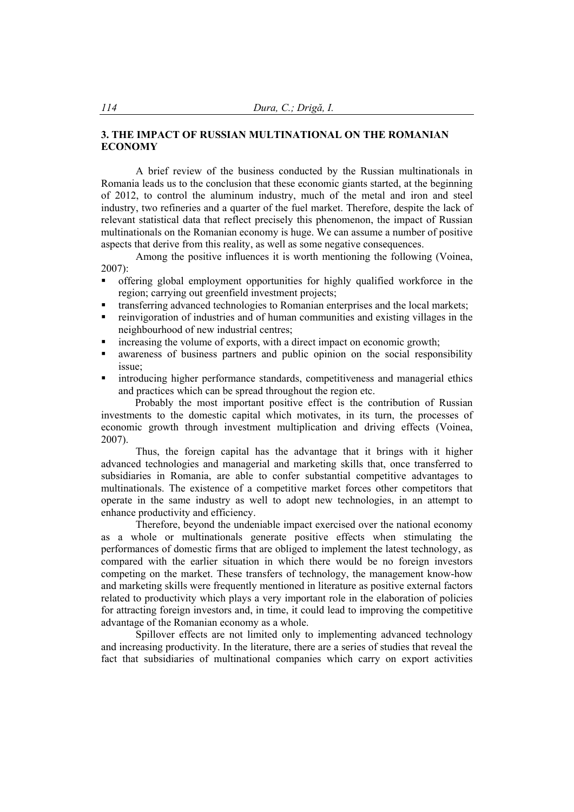### **3. THE IMPACT OF RUSSIAN MULTINATIONAL ON THE ROMANIAN ECONOMY**

A brief review of the business conducted by the Russian multinationals in Romania leads us to the conclusion that these economic giants started, at the beginning of 2012, to control the aluminum industry, much of the metal and iron and steel industry, two refineries and a quarter of the fuel market. Therefore, despite the lack of relevant statistical data that reflect precisely this phenomenon, the impact of Russian multinationals on the Romanian economy is huge. We can assume a number of positive aspects that derive from this reality, as well as some negative consequences.

Among the positive influences it is worth mentioning the following (Voinea,  $2007$ 

- offering global employment opportunities for highly qualified workforce in the region; carrying out greenfield investment projects;
- transferring advanced technologies to Romanian enterprises and the local markets;
- reinvigoration of industries and of human communities and existing villages in the neighbourhood of new industrial centres;
- increasing the volume of exports, with a direct impact on economic growth;
- awareness of business partners and public opinion on the social responsibility issue;
- introducing higher performance standards, competitiveness and managerial ethics and practices which can be spread throughout the region etc.

 Probably the most important positive effect is the contribution of Russian investments to the domestic capital which motivates, in its turn, the processes of economic growth through investment multiplication and driving effects (Voinea, 2007).

Thus, the foreign capital has the advantage that it brings with it higher advanced technologies and managerial and marketing skills that, once transferred to subsidiaries in Romania, are able to confer substantial competitive advantages to multinationals. The existence of a competitive market forces other competitors that operate in the same industry as well to adopt new technologies, in an attempt to enhance productivity and efficiency.

Therefore, beyond the undeniable impact exercised over the national economy as a whole or multinationals generate positive effects when stimulating the performances of domestic firms that are obliged to implement the latest technology, as compared with the earlier situation in which there would be no foreign investors competing on the market. These transfers of technology, the management know-how and marketing skills were frequently mentioned in literature as positive external factors related to productivity which plays a very important role in the elaboration of policies for attracting foreign investors and, in time, it could lead to improving the competitive advantage of the Romanian economy as a whole.

Spillover effects are not limited only to implementing advanced technology and increasing productivity. In the literature, there are a series of studies that reveal the fact that subsidiaries of multinational companies which carry on export activities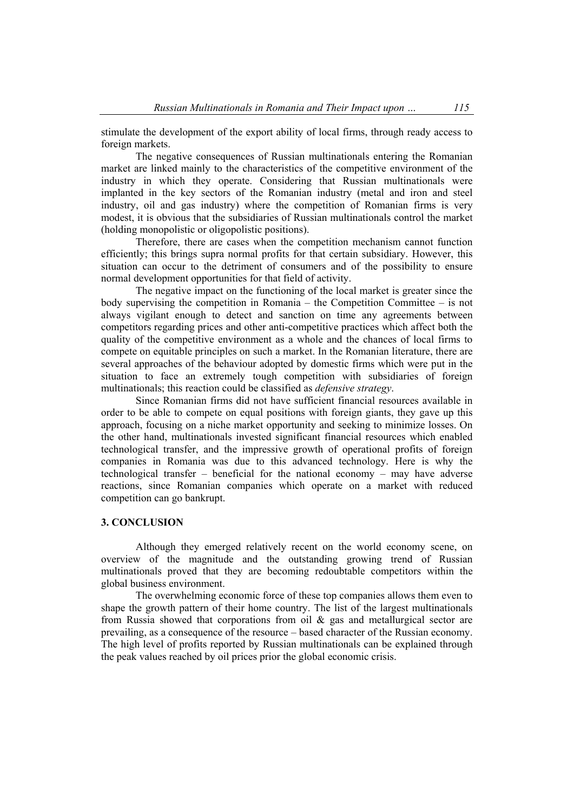stimulate the development of the export ability of local firms, through ready access to foreign markets.

The negative consequences of Russian multinationals entering the Romanian market are linked mainly to the characteristics of the competitive environment of the industry in which they operate. Considering that Russian multinationals were implanted in the key sectors of the Romanian industry (metal and iron and steel industry, oil and gas industry) where the competition of Romanian firms is very modest, it is obvious that the subsidiaries of Russian multinationals control the market (holding monopolistic or oligopolistic positions).

Therefore, there are cases when the competition mechanism cannot function efficiently; this brings supra normal profits for that certain subsidiary. However, this situation can occur to the detriment of consumers and of the possibility to ensure normal development opportunities for that field of activity.

The negative impact on the functioning of the local market is greater since the body supervising the competition in Romania – the Competition Committee – is not always vigilant enough to detect and sanction on time any agreements between competitors regarding prices and other anti-competitive practices which affect both the quality of the competitive environment as a whole and the chances of local firms to compete on equitable principles on such a market. In the Romanian literature, there are several approaches of the behaviour adopted by domestic firms which were put in the situation to face an extremely tough competition with subsidiaries of foreign multinationals; this reaction could be classified as *defensive strategy*.

Since Romanian firms did not have sufficient financial resources available in order to be able to compete on equal positions with foreign giants, they gave up this approach, focusing on a niche market opportunity and seeking to minimize losses. On the other hand, multinationals invested significant financial resources which enabled technological transfer, and the impressive growth of operational profits of foreign companies in Romania was due to this advanced technology. Here is why the technological transfer – beneficial for the national economy – may have adverse reactions, since Romanian companies which operate on a market with reduced competition can go bankrupt.

#### **3. CONCLUSION**

Although they emerged relatively recent on the world economy scene, on overview of the magnitude and the outstanding growing trend of Russian multinationals proved that they are becoming redoubtable competitors within the global business environment.

The overwhelming economic force of these top companies allows them even to shape the growth pattern of their home country. The list of the largest multinationals from Russia showed that corporations from oil  $\&$  gas and metallurgical sector are prevailing, as a consequence of the resource – based character of the Russian economy. The high level of profits reported by Russian multinationals can be explained through the peak values reached by oil prices prior the global economic crisis.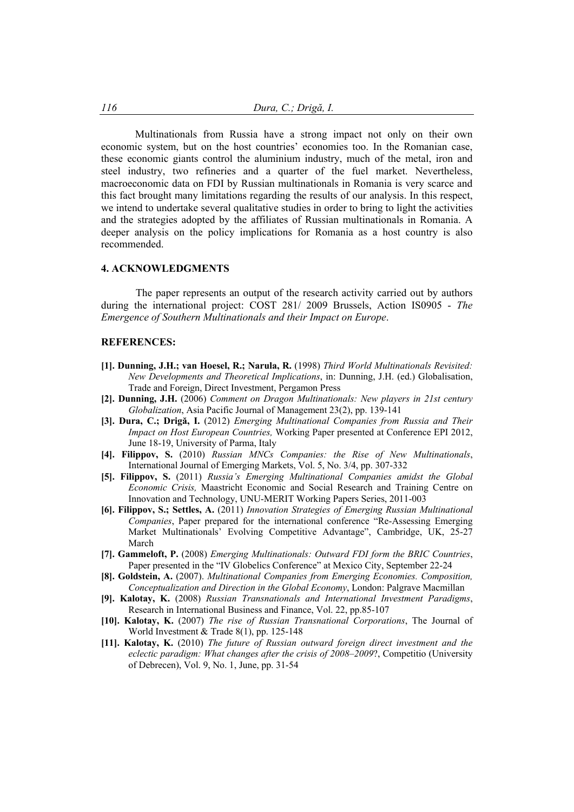Multinationals from Russia have a strong impact not only on their own economic system, but on the host countries' economies too. In the Romanian case, these economic giants control the aluminium industry, much of the metal, iron and steel industry, two refineries and a quarter of the fuel market. Nevertheless, macroeconomic data on FDI by Russian multinationals in Romania is very scarce and this fact brought many limitations regarding the results of our analysis. In this respect, we intend to undertake several qualitative studies in order to bring to light the activities and the strategies adopted by the affiliates of Russian multinationals in Romania. A deeper analysis on the policy implications for Romania as a host country is also recommended.

#### **4. ACKNOWLEDGMENTS**

The paper represents an output of the research activity carried out by authors during the international project: COST 281/ 2009 Brussels, Action IS0905 - *The Emergence of Southern Multinationals and their Impact on Europe*.

### **REFERENCES:**

- **[1]. Dunning, J.H.; van Hoesel, R.; Narula, R.** (1998) *Third World Multinationals Revisited: New Developments and Theoretical Implications*, in: Dunning, J.H. (ed.) Globalisation, Trade and Foreign, Direct Investment, Pergamon Press
- **[2]. Dunning, J.H.** (2006) *Comment on Dragon Multinationals: New players in 21st century Globalization*, Asia Pacific Journal of Management 23(2), pp. 139-141
- **[3]. Dura, C.; Drigă, I.** (2012) *Emerging Multinational Companies from Russia and Their Impact on Host European Countries,* Working Paper presented at Conference EPI 2012, June 18-19, University of Parma, Italy
- **[4]. Filippov, S.** (2010) *Russian MNCs Companies: the Rise of New Multinationals*, International Journal of Emerging Markets, Vol. 5, No. 3/4, pp. 307-332
- **[5]. Filippov, S.** (2011) *Russia's Emerging Multinational Companies amidst the Global Economic Crisis,* Maastricht Economic and Social Research and Training Centre on Innovation and Technology, UNU-MERIT Working Papers Series, 2011-003
- **[6]. Filippov, S.; Settles, A.** (2011) *Innovation Strategies of Emerging Russian Multinational Companies*, Paper prepared for the international conference "Re-Assessing Emerging Market Multinationals' Evolving Competitive Advantage", Cambridge, UK, 25-27 March
- **[7]. Gammeloft, P.** (2008) *Emerging Multinationals: Outward FDI form the BRIC Countries*, Paper presented in the "IV Globelics Conference" at Mexico City, September 22-24
- **[8]. Goldstein, A.** (2007). *Multinational Companies from Emerging Economies. Composition, Conceptualization and Direction in the Global Economy*, London: Palgrave Macmillan
- **[9]. Kalotay, K.** (2008) *Russian Transnationals and International Investment Paradigms*, Research in International Business and Finance, Vol. 22, pp.85-107
- **[10]. Kalotay, K.** (2007) *The rise of Russian Transnational Corporations*, The Journal of World Investment & Trade 8(1), pp. 125-148
- **[11]. Kalotay, K.** (2010) *The future of Russian outward foreign direct investment and the eclectic paradigm: What changes after the crisis of 2008–2009*?, Competitio (University of Debrecen), Vol. 9, No. 1, June, pp. 31-54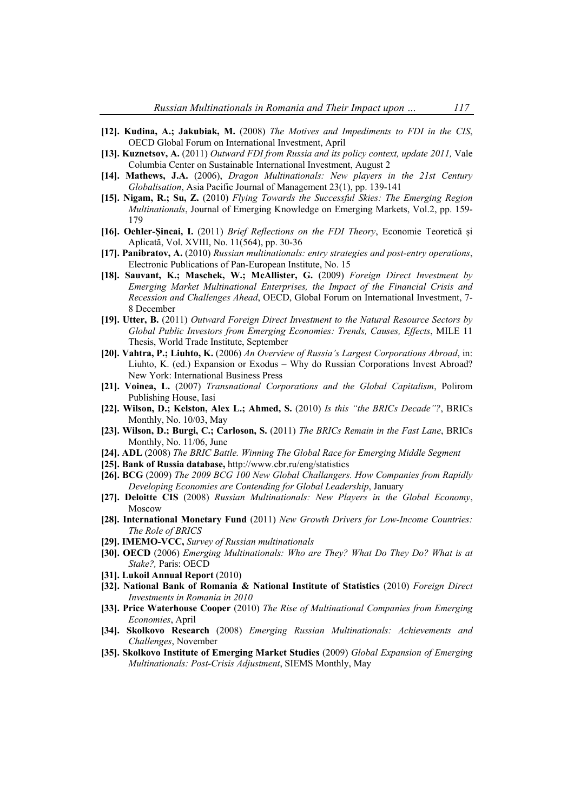- **[12]. Kudina, A.; Jakubiak, M.** (2008) *The Motives and Impediments to FDI in the CIS*, OECD Global Forum on International Investment, April
- **[13]. Kuznetsov, A.** (2011) *Outward FDI from Russia and its policy context, update 2011,* Vale Columbia Center on Sustainable International Investment, August 2
- **[14]. Mathews, J.A.** (2006), *Dragon Multinationals: New players in the 21st Century Globalisation*, Asia Pacific Journal of Management 23(1), pp. 139-141
- **[15]. Nigam, R.; Su, Z.** (2010) *Flying Towards the Successful Skies: The Emerging Region Multinationals*, Journal of Emerging Knowledge on Emerging Markets, Vol.2, pp. 159- 179
- **[16]. Oehler-Șincai, I.** (2011) *Brief Reflections on the FDI Theory*, Economie Teoretică și Aplicată, Vol. XVIII, No. 11(564), pp. 30-36
- **[17]. Panibratov, A.** (2010) *Russian multinationals: entry strategies and post-entry operations*, Electronic Publications of Pan-European Institute, No. 15
- **[18]. Sauvant, K.; Maschek, W.; McAllister, G.** (2009) *Foreign Direct Investment by Emerging Market Multinational Enterprises, the Impact of the Financial Crisis and Recession and Challenges Ahead*, OECD, Global Forum on International Investment, 7- 8 December
- **[19]. Utter, B.** (2011) *Outward Foreign Direct Investment to the Natural Resource Sectors by Global Public Investors from Emerging Economies: Trends, Causes, Effects*, MILE 11 Thesis, World Trade Institute, September
- **[20]. Vahtra, P.; Liuhto, K.** (2006) *An Overview of Russia's Largest Corporations Abroad*, in: Liuhto, K. (ed.) Expansion or Exodus – Why do Russian Corporations Invest Abroad? New York: International Business Press
- **[21]. Voinea, L.** (2007) *Transnational Corporations and the Global Capitalism*, Polirom Publishing House, Iasi
- **[22]. Wilson, D.; Kelston, Alex L.; Ahmed, S.** (2010) *Is this "the BRICs Decade"?*, BRICs Monthly, No. 10/03, May
- **[23]. Wilson, D.; Burgi, C.; Carloson, S.** (2011) *The BRICs Remain in the Fast Lane*, BRICs Monthly, No. 11/06, June
- **[24]. ADL** (2008) *The BRIC Battle. Winning The Global Race for Emerging Middle Segment*
- **[25]. Bank of Russia database,** http://www.cbr.ru/eng/statistics
- **[26]. BCG** (2009) *The 2009 BCG 100 New Global Challangers. How Companies from Rapidly Developing Economies are Contending for Global Leadership*, January
- **[27]. Deloitte CIS** (2008) *Russian Multinationals: New Players in the Global Economy*, Moscow
- **[28]. International Monetary Fund** (2011) *New Growth Drivers for Low-Income Countries: The Role of BRICS*
- **[29]. IMEMO-VCC,** *Survey of Russian multinationals*
- **[30]. OECD** (2006) *Emerging Multinationals: Who are They? What Do They Do? What is at Stake?,* Paris: OECD
- **[31]. Lukoil Annual Report** (2010)
- **[32]. National Bank of Romania & National Institute of Statistics** (2010) *Foreign Direct Investments in Romania in 2010*
- **[33]. Price Waterhouse Cooper** (2010) *The Rise of Multinational Companies from Emerging Economies*, April
- **[34]. Skolkovo Research** (2008) *Emerging Russian Multinationals: Achievements and Challenges*, November
- **[35]. Skolkovo Institute of Emerging Market Studies** (2009) *Global Expansion of Emerging Multinationals: Post-Crisis Adjustment*, SIEMS Monthly, May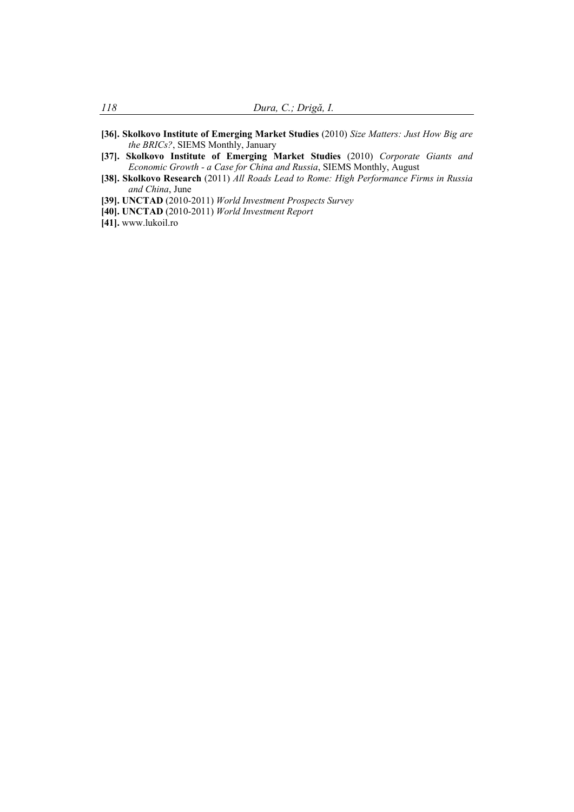- **[36]. Skolkovo Institute of Emerging Market Studies** (2010) *Size Matters: Just How Big are the BRICs?*, SIEMS Monthly, January
- **[37]. Skolkovo Institute of Emerging Market Studies** (2010) *Corporate Giants and Economic Growth - a Case for China and Russia*, SIEMS Monthly, August
- **[38]. Skolkovo Research** (2011) *All Roads Lead to Rome: High Performance Firms in Russia and China*, June
- **[39]. UNCTAD** (2010-2011) *World Investment Prospects Survey*
- **[40]. UNCTAD** (2010-2011) *World Investment Report*
- **[41].** www.lukoil.ro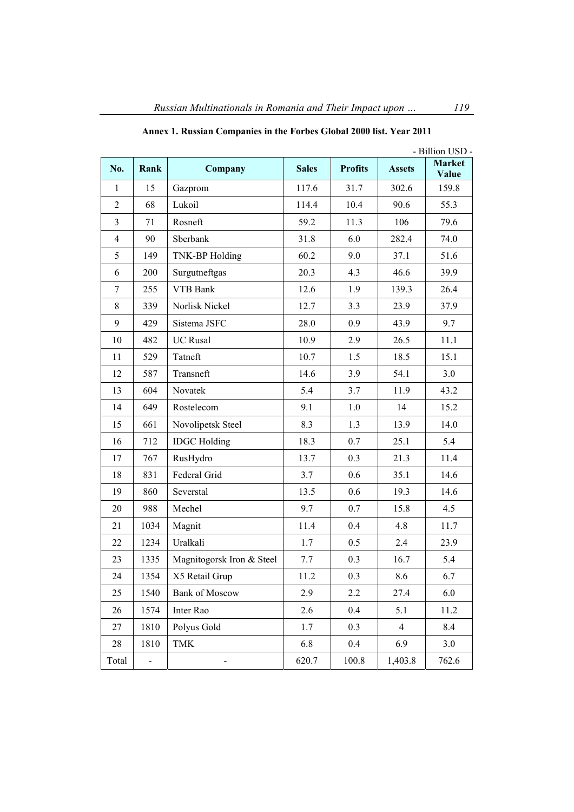|                |      |                           | - Billion USD - |                |                |                        |  |
|----------------|------|---------------------------|-----------------|----------------|----------------|------------------------|--|
| No.            | Rank | Company                   | <b>Sales</b>    | <b>Profits</b> | <b>Assets</b>  | <b>Market</b><br>Value |  |
| 1              | 15   | Gazprom                   | 117.6           | 31.7           | 302.6          | 159.8                  |  |
| $\overline{2}$ | 68   | Lukoil                    | 114.4           | 10.4           | 90.6           | 55.3                   |  |
| 3              | 71   | Rosneft                   | 59.2            | 11.3           | 106            | 79.6                   |  |
| $\overline{4}$ | 90   | Sberbank                  | 31.8            | 6.0            | 282.4          | 74.0                   |  |
| 5              | 149  | <b>TNK-BP</b> Holding     | 60.2            | 9.0            | 37.1           | 51.6                   |  |
| 6              | 200  | Surgutneftgas             | 20.3<br>4.3     |                | 46.6           | 39.9                   |  |
| $\overline{7}$ | 255  | <b>VTB Bank</b>           | 12.6            | 1.9            | 139.3          | 26.4                   |  |
| 8              | 339  | Norlisk Nickel            | 12.7            | 3.3            | 23.9           | 37.9                   |  |
| 9              | 429  | Sistema JSFC              | 28.0            | 0.9            | 43.9           | 9.7                    |  |
| 10             | 482  | <b>UC</b> Rusal           | 10.9            | 2.9            | 26.5           | 11.1                   |  |
| 11             | 529  | Tatneft                   | 10.7            | 1.5            | 18.5           | 15.1                   |  |
| 12             | 587  | Transneft                 | 14.6            | 3.9            | 54.1           | 3.0                    |  |
| 13             | 604  | Novatek                   | 5.4             | 3.7            | 11.9           | 43.2                   |  |
| 14             | 649  | Rostelecom                | 9.1             | 1.0            | 14             | 15.2                   |  |
| 15             | 661  | Novolipetsk Steel         | 8.3             | 1.3            | 13.9           | 14.0                   |  |
| 16             | 712  | <b>IDGC</b> Holding       | 18.3            | 0.7            | 25.1           | 5.4                    |  |
| 17             | 767  | RusHydro                  | 13.7            | 0.3            | 21.3           | 11.4                   |  |
| 18             | 831  | Federal Grid              | 3.7             | 0.6            | 35.1           | 14.6                   |  |
| 19             | 860  | Severstal                 | 13.5            | 0.6            | 19.3           | 14.6                   |  |
| 20             | 988  | Mechel                    | 9.7             | 0.7            | 15.8           | 4.5                    |  |
| 21             | 1034 | Magnit                    | 11.4            | 0.4            | 4.8            | 11.7                   |  |
| 22             | 1234 | Uralkali                  | 1.7             | 0.5            | 2.4            | 23.9                   |  |
| 23             | 1335 | Magnitogorsk Iron & Steel | 7.7             | 0.3            | 16.7           | 5.4                    |  |
| 24             | 1354 | X5 Retail Grup            | 11.2            | 0.3            | 8.6            | 6.7                    |  |
| 25             | 1540 | <b>Bank of Moscow</b>     | 2.9             | 2.2            | 27.4           | 6.0                    |  |
| 26             | 1574 | Inter Rao                 | 2.6             | 0.4            | 5.1            | 11.2                   |  |
| 27             | 1810 | Polyus Gold               | 1.7             | 0.3            | $\overline{4}$ | 8.4                    |  |
| 28             | 1810 | <b>TMK</b>                | 6.8             | 0.4            | 6.9            | 3.0                    |  |
| Total          | ÷,   |                           | 620.7           | 100.8          | 1,403.8        | 762.6                  |  |

**Annex 1. Russian Companies in the Forbes Global 2000 list. Year 2011**